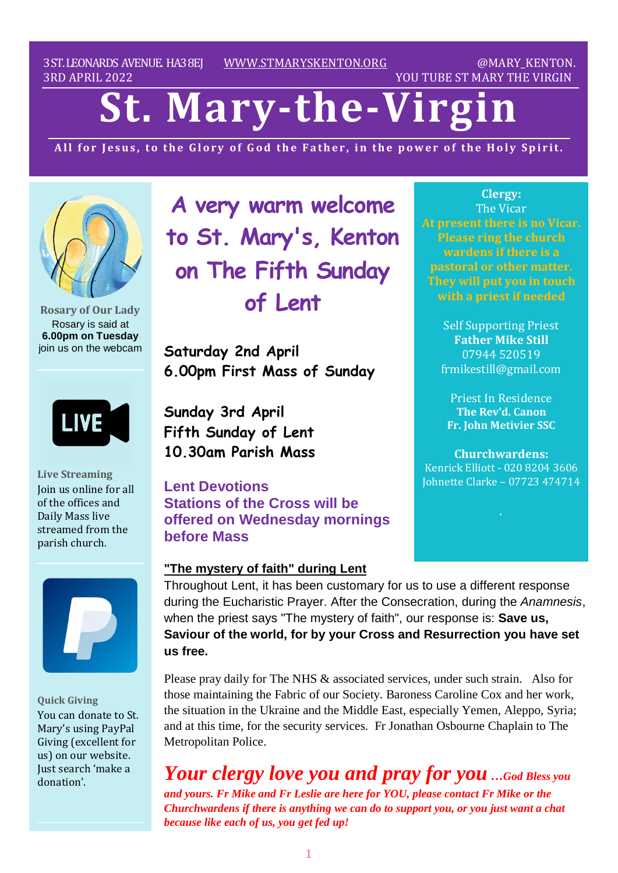3ST.LEONARDS AVENUE. HA38EJ [WWW.STMARYSKENTON.ORG](http://www.stmaryskenton.org/) @MARY\_KENTON. 3RD APRIL 2022 YOU TUBE ST MARY THE VIRGIN

# **St. Mary-the-Virgi**

All for Jesus, to the Glory of God the Father, in the power of the Holy Spirit.



**Rosary of Our Lady** Rosary is said at **6.00pm on Tuesday** join us on the webcam

LIVE

**Live Streaming** Join us online for all of the offices and Daily Mass live streamed from the parish church.



**Quick Giving** You can donate to St. Mary's using PayPal Giving (excellent for us) on our website. Just search 'make a donation'.

**A very warm welcome to St. Mary's, Kenton on The Fifth Sunday of Lent**

**Saturday 2nd April 6.00pm First Mass of Sunday**

**Sunday 3rd April Fifth Sunday of Lent 10.30am Parish Mass**

**Lent Devotions Stations of the Cross will be offered on Wednesday mornings before Mass**

#### **"The mystery of faith" during Lent**

**Clergy:** The Vicar **At present there is no Vicar. Please ring the church wardens if there is a pastoral or other matter.**

> Self Supporting Priest **Father Mike Still** 07944 520519 frmikestill@gmail.com

Priest In Residence **The Rev'd. Canon Fr. John Metivier SSC**

**Churchwardens:** Kenrick Elliott - 020 8204 3606 Johnette Clarke – 07723 474714

Throughout Lent, it has been customary for us to use a different response during the Eucharistic Prayer. After the Consecration, during the *Anamnesis*, when the priest says "The mystery of faith", our response is: **Save us, Saviour of the world, for by your Cross and Resurrection you have set us free.** 

Please pray daily for The NHS & associated services, under such strain. Also for those maintaining the Fabric of our Society. Baroness Caroline Cox and her work, the situation in the Ukraine and the Middle East, especially Yemen, Aleppo, Syria; and at this time, for the security services. Fr Jonathan Osbourne Chaplain to The Metropolitan Police.

*Your clergy love you and pray for you …God Bless you and yours. Fr Mike and Fr Leslie are here for YOU, please contact Fr Mike or the Churchwardens if there is anything we can do to support you, or you just want a chat because like each of us, you get fed up!*